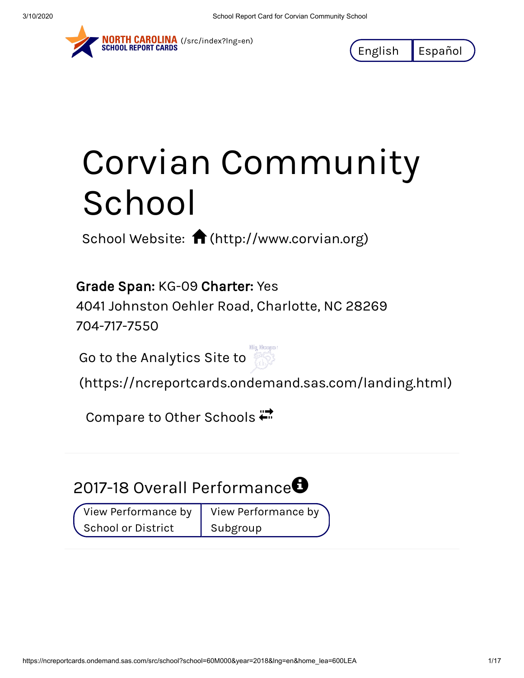

NORTH CAROLINA (/src/index?Ing=en)<br>SCHOOL REPORT CARDS

English Español

# Corvian Community School

School Website:  $\bigcap$  [\(http://www.corvian.org\)](http://www.corvian.org/)

Grade Span: KG-09 Charter: Yes

4041 Johnston Oehler Road, Charlotte, NC 28269 704-717-7550

Go to the Analytics Site to



[\(https://ncreportcards.ondemand.sas.com/landing.html\)](https://ncreportcards.ondemand.sas.com/landing.html)

Compare to Other Schools

# 2017-18 Overall Performance $\bm \Theta$

View Performance by School or District

View Performance by Subgroup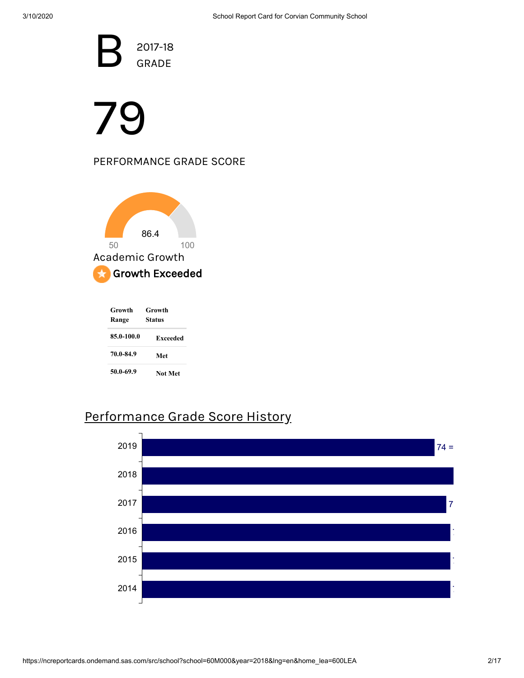B<sup>a</sup> 2017-18 GRADE

# 79

### PERFORMANCE GRADE SCORE



| Growth<br>Range | Growth<br>Status |  |
|-----------------|------------------|--|
| 85.0-100.0      | Exceeded         |  |
| 70.0-84.9       | Met              |  |
| 50.0-69.9       | Not Met          |  |

## Performance Grade Score History

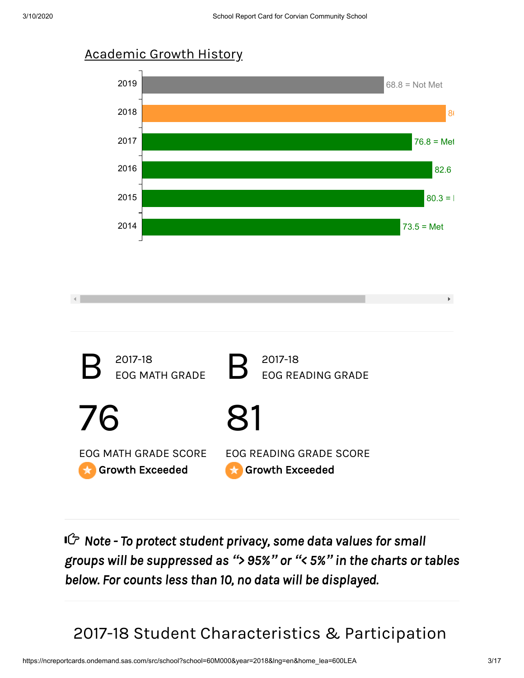



*Note - To protect student privacy, some data values for small groups will be suppressed as "> 95%" or "< 5%" in the charts or tables below. For counts less than 10, no data will be displayed.*

2017-18 Student Characteristics & Participation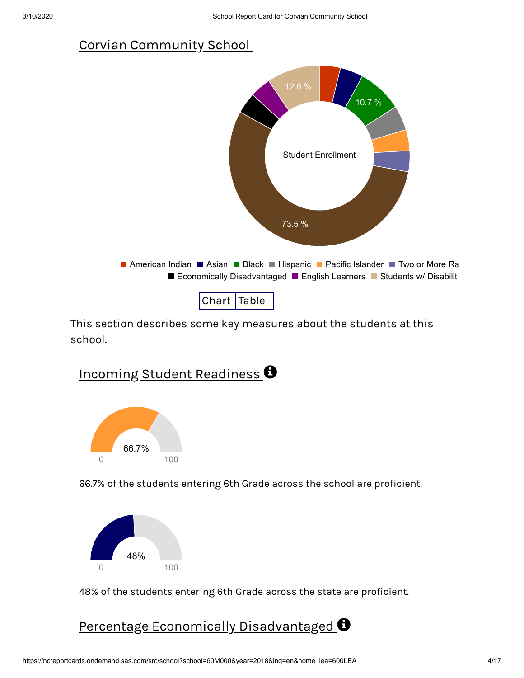## Corvian Community School



This section describes some key measures about the students at this school.



Incoming Student Readiness  $\bm{\Theta}$ 

66.7% of the students entering 6th Grade across the school are proficient.



48% of the students entering 6th Grade across the state are proficient.

Percentage Economically Disadvantaged  $\boldsymbol{\Theta}$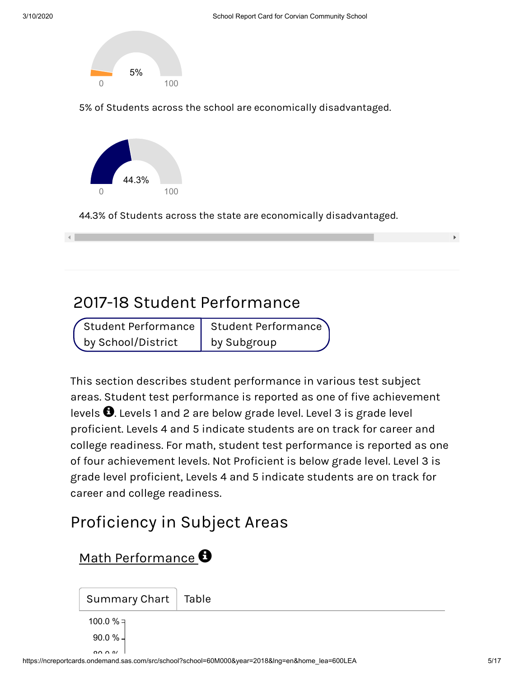

5% of Students across the school are economically disadvantaged.



44.3% of Students across the state are economically disadvantaged.

## 2017-18 Student Performance

|                    | $\sqrt{2}$ Student Performance   Student Performance |
|--------------------|------------------------------------------------------|
| by School/District | by Subgroup                                          |

This section describes student performance in various test subject areas. Student test performance is reported as one of five achievement levels  $\bigoplus$ . Levels 1 and 2 are below grade level. Level 3 is grade level proficient. Levels 4 and 5 indicate students are on track for career and college readiness. For math, student test performance is reported as one of four achievement levels. Not Proficient is below grade level. Level 3 is grade level proficient, Levels 4 and 5 indicate students are on track for career and college readiness.

# Proficiency in Subject Areas

## Math Performance  $\boldsymbol{\Theta}$

Summary Chart | Table 90.0 % 100.0 %  $=$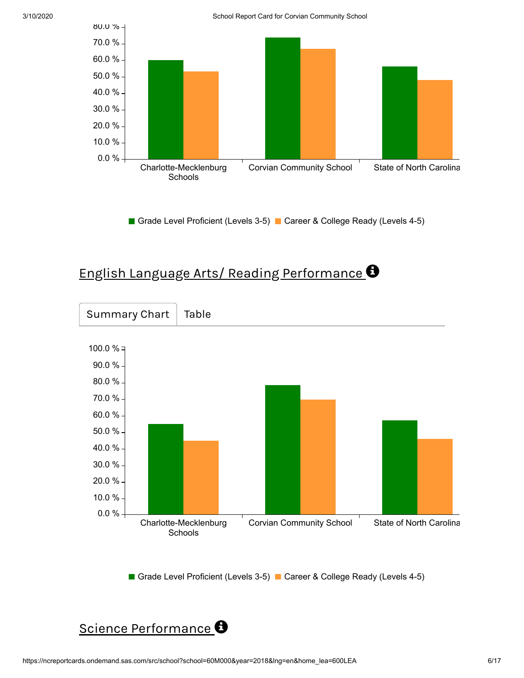3/10/2020 School Report Card for Corvian Community School



Grade Level Proficient (Levels 3-5) Career & College Ready (Levels 4-5)

## English Language Arts/ Reading Performance



Grade Level Proficient (Levels 3-5) Career & College Ready (Levels 4-5)

## Science Performance<sup>O</sup>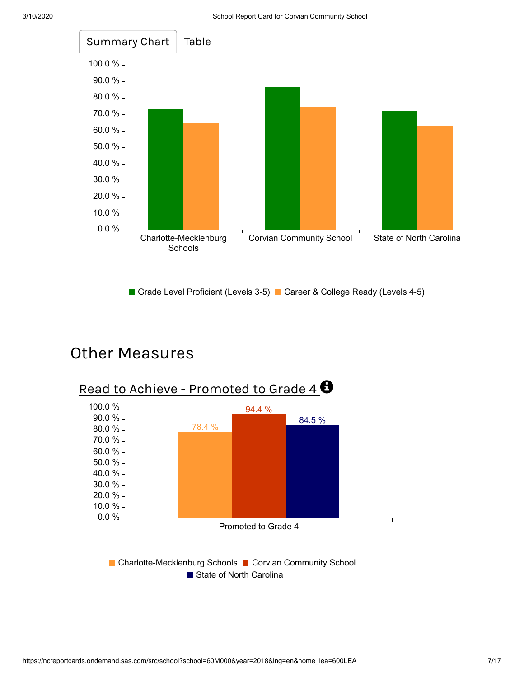

Grade Level Proficient (Levels 3-5) Career & College Ready (Levels 4-5)

## Other Measures



■ State of North Carolina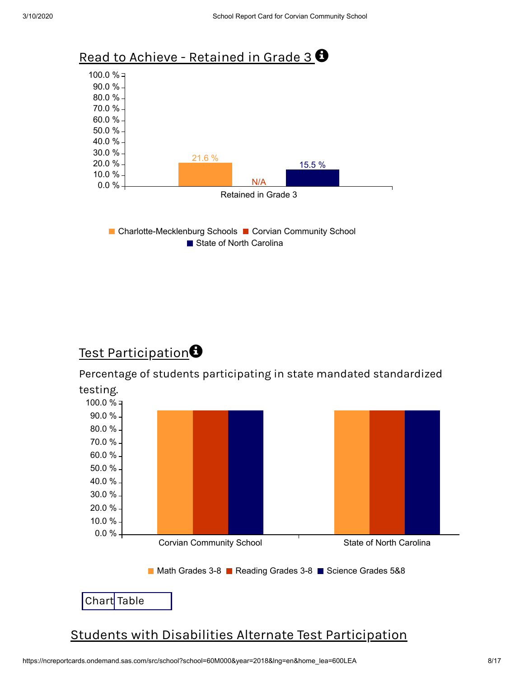

## Test Participation $\boldsymbol{\Theta}$

Percentage of students participating in state mandated standardized

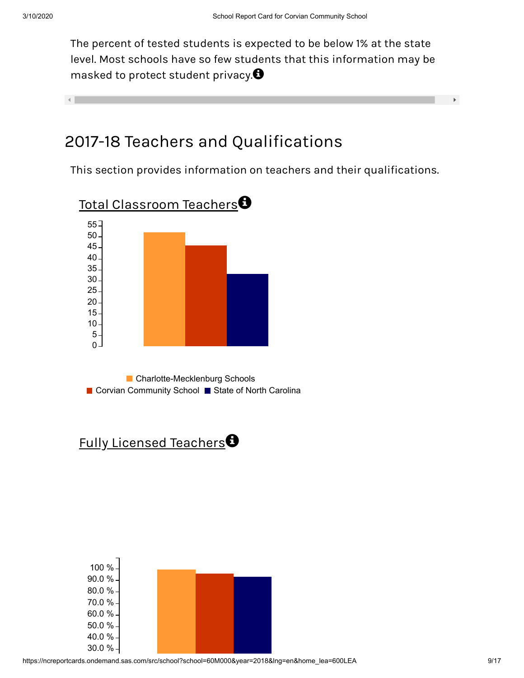The percent of tested students is expected to be below 1% at the state level. Most schools have so few students that this information may be masked to protect student privacy. $\bm{\Theta}$ 

#### $\mathcal{A}$  .

## 2017-18 Teachers and Qualifications

This section provides information on teachers and their qualifications.



Fully Licensed Teachers



 $\mathbf{F}$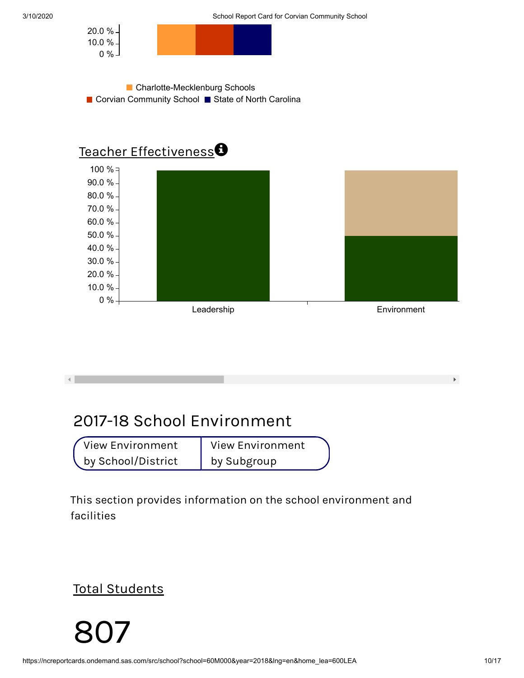







## 2017-18 School Environment

View Environment by School/District View Environment by Subgroup

This section provides information on the school environment and facilities

Total Students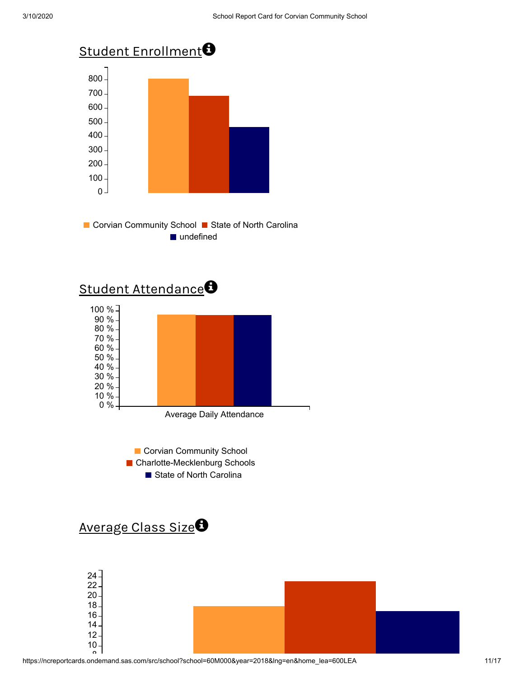







## Average Class Size<sup>O</sup>

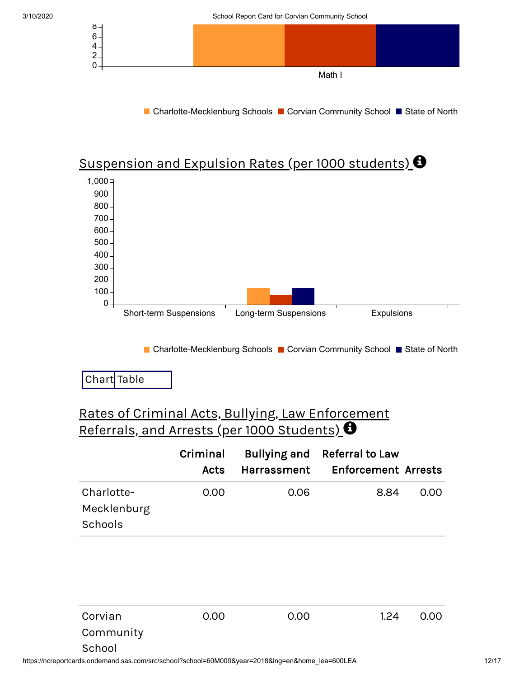



## Suspension and Expulsion Rates (per 1000 students)  $\bm{\Theta}$



■ Charlotte-Mecklenburg Schools ■ Corvian Community School ■ State of North

## Chart Table

## Rates of Criminal Acts, Bullying, Law Enforcement Referrals, and Arrests (per 1000 Students)  $\boldsymbol{\Theta}$

|                                      | Criminal<br>Acts | Harrassment | Bullying and Referral to Law<br><b>Enforcement Arrests</b> |      |
|--------------------------------------|------------------|-------------|------------------------------------------------------------|------|
| Charlotte-<br>Mecklenburg<br>Schools | 0.00             | 0.06        | 8.84                                                       | 0.00 |

| Corvian             | 0.00 | 0.00 | 1.24 | 0.00 |
|---------------------|------|------|------|------|
| Community<br>School |      |      |      |      |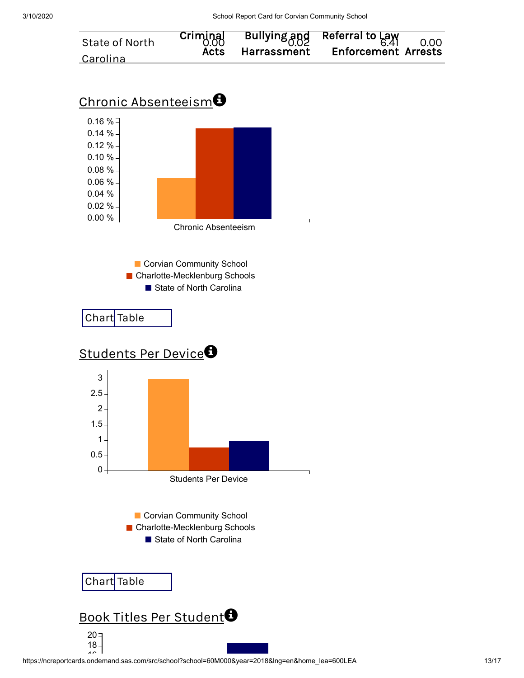

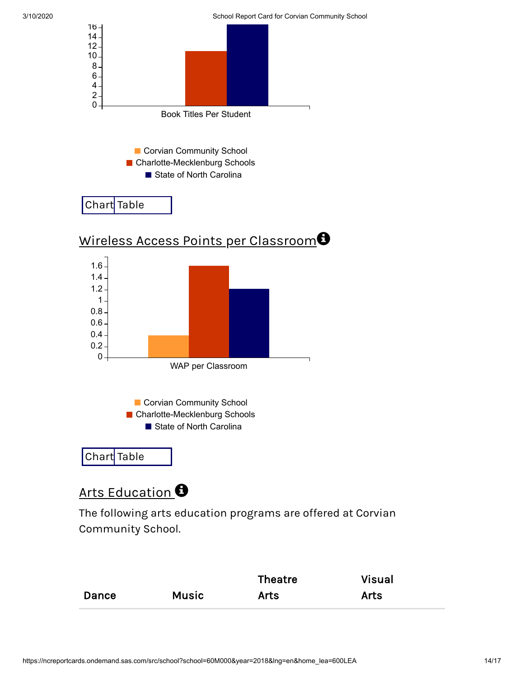

Wireless Access Points per Classroom $\bm \Theta$ 



## Arts Education  $\bm{\Theta}$

The following arts education programs are offered at Corvian Community School.

|              |              | <b>Theatre</b> | <b>Visual</b> |
|--------------|--------------|----------------|---------------|
| <b>Dance</b> | <b>Music</b> | <b>Arts</b>    | <b>Arts</b>   |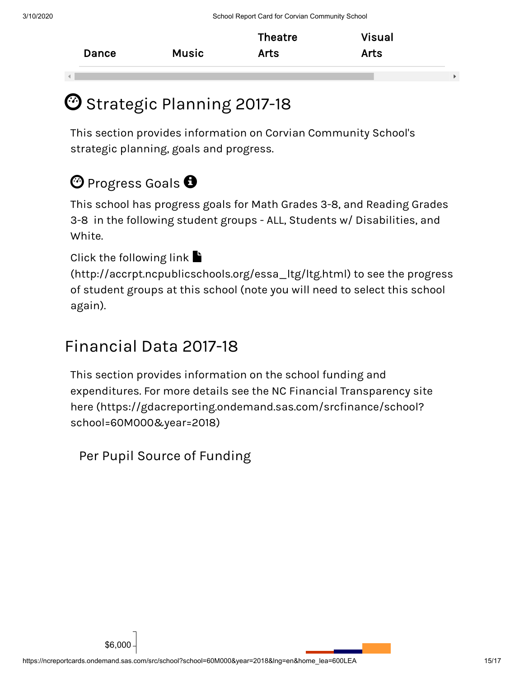| Dance | Music | Theatre<br><b>Arts</b> | Visual<br><b>Arts</b> |
|-------|-------|------------------------|-----------------------|
|       |       |                        |                       |

# $\mathbf{\mathfrak{O}}$  Strategic Planning 2017-18  $^{\circ}$

This section provides information on Corvian Community School's strategic planning, goals and progress.

# $\bm{\mathfrak{O}}$  Progress Goals  $\bm{\Theta}$

This school has progress goals for Math Grades 3-8, and Reading Grades 3-8 in the following student groups - ALL, Students w/ Disabilities, and White.

### Click the following link  $\blacksquare$

[\(http://accrpt.ncpublicschools.org/essa\\_ltg/ltg.html\)](http://accrpt.ncpublicschools.org/essa_ltg/ltg.html) to see the progress of student groups at this school (note you will need to select this school again).

# Financial Data 2017-18

This section provides information on the school funding and expenditures. For more details see the NC Financial Transparency site here [\(https://gdacreporting.ondemand.sas.com/srcfinance/school?](https://gdacreporting.ondemand.sas.com/srcfinance/school?school=60M000&year=2018) school=60M000&year=2018)

Per Pupil Source of Funding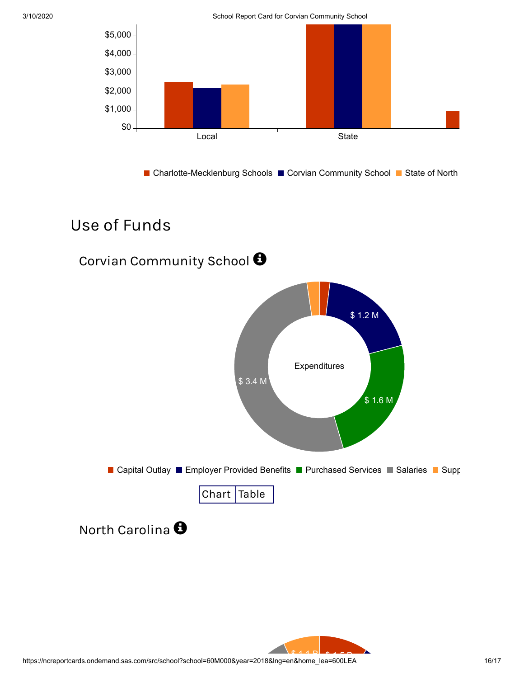

3/10/2020 School Report Card for Corvian Community School



■ Charlotte-Mecklenburg Schools ■ Corvian Community School ■ State of North

## Use of Funds